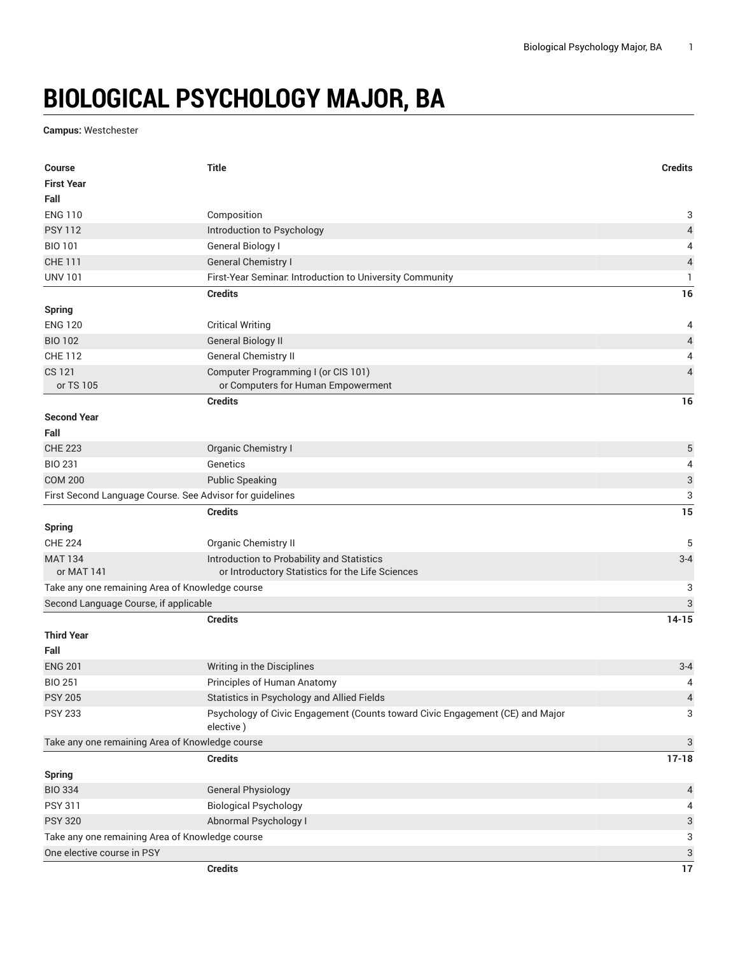## **BIOLOGICAL PSYCHOLOGY MAJOR, BA**

**Campus:** Westchester

| <b>Course</b>                                            | <b>Title</b>                                                                               | <b>Credits</b>            |  |
|----------------------------------------------------------|--------------------------------------------------------------------------------------------|---------------------------|--|
| <b>First Year</b>                                        |                                                                                            |                           |  |
| Fall                                                     |                                                                                            |                           |  |
| <b>ENG 110</b>                                           | Composition                                                                                | 3                         |  |
| <b>PSY 112</b>                                           | Introduction to Psychology                                                                 | $\overline{4}$            |  |
| <b>BIO 101</b>                                           | <b>General Biology I</b>                                                                   | 4                         |  |
| <b>CHE 111</b>                                           | <b>General Chemistry I</b>                                                                 | $\sqrt{4}$                |  |
| <b>UNV 101</b>                                           | First-Year Seminar. Introduction to University Community                                   | 1                         |  |
|                                                          | <b>Credits</b>                                                                             | 16                        |  |
| <b>Spring</b>                                            |                                                                                            |                           |  |
| <b>ENG 120</b>                                           | <b>Critical Writing</b>                                                                    | 4                         |  |
| <b>BIO 102</b>                                           | <b>General Biology II</b>                                                                  | $\overline{\mathcal{L}}$  |  |
| <b>CHE 112</b>                                           | General Chemistry II                                                                       | 4                         |  |
| <b>CS 121</b>                                            | Computer Programming I (or CIS 101)                                                        | $\overline{4}$            |  |
| or TS 105                                                | or Computers for Human Empowerment                                                         |                           |  |
|                                                          | <b>Credits</b>                                                                             | 16                        |  |
| <b>Second Year</b>                                       |                                                                                            |                           |  |
| Fall                                                     |                                                                                            |                           |  |
| <b>CHE 223</b>                                           | Organic Chemistry I                                                                        | $\sqrt{5}$                |  |
| <b>BIO 231</b>                                           | Genetics                                                                                   | 4                         |  |
| <b>COM 200</b>                                           | <b>Public Speaking</b>                                                                     | $\ensuremath{\mathsf{3}}$ |  |
| First Second Language Course. See Advisor for guidelines |                                                                                            | 3                         |  |
|                                                          | <b>Credits</b>                                                                             | 15                        |  |
| Spring                                                   |                                                                                            |                           |  |
| <b>CHE 224</b>                                           | <b>Organic Chemistry II</b>                                                                | 5                         |  |
| <b>MAT 134</b>                                           | Introduction to Probability and Statistics                                                 | $3 - 4$                   |  |
| or MAT 141                                               | or Introductory Statistics for the Life Sciences                                           |                           |  |
| Take any one remaining Area of Knowledge course<br>3     |                                                                                            |                           |  |
| Second Language Course, if applicable<br>3               |                                                                                            |                           |  |
|                                                          | <b>Credits</b>                                                                             | $14 - 15$                 |  |
| <b>Third Year</b>                                        |                                                                                            |                           |  |
| Fall                                                     |                                                                                            |                           |  |
| <b>ENG 201</b>                                           | Writing in the Disciplines                                                                 | $3 - 4$                   |  |
| <b>BIO 251</b>                                           | Principles of Human Anatomy                                                                | 4                         |  |
| <b>PSY 205</b>                                           | Statistics in Psychology and Allied Fields                                                 | $\overline{\mathcal{L}}$  |  |
| <b>PSY 233</b>                                           | Psychology of Civic Engagement (Counts toward Civic Engagement (CE) and Major<br>elective) | 3                         |  |
| Take any one remaining Area of Knowledge course          |                                                                                            | 3                         |  |
|                                                          | <b>Credits</b>                                                                             | $17 - 18$                 |  |
| <b>Spring</b>                                            |                                                                                            |                           |  |
| <b>BIO 334</b>                                           | <b>General Physiology</b>                                                                  | $\overline{a}$            |  |
| <b>PSY 311</b>                                           | <b>Biological Psychology</b>                                                               | 4                         |  |
| <b>PSY 320</b>                                           | Abnormal Psychology I                                                                      | 3                         |  |
| Take any one remaining Area of Knowledge course<br>3     |                                                                                            |                           |  |
| One elective course in PSY<br>3                          |                                                                                            |                           |  |
|                                                          | <b>Credits</b>                                                                             | 17                        |  |